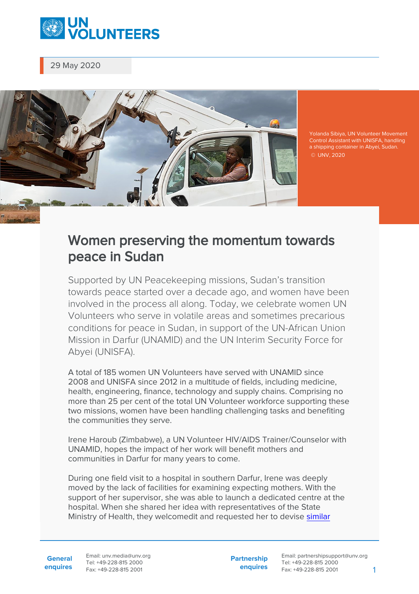

29 May 2020



Yolanda Sibiya, UN Volunteer Movement Control Assistant with UNISFA, handling a shipping container in Abyei, Sudan. © UNV, 2020

## Women preserving the momentum towards peace in Sudan

Supported by UN Peacekeeping missions, Sudan's transition towards peace started over a decade ago, and women have been involved in the process all along. Today, we celebrate women UN Volunteers who serve in volatile areas and sometimes precarious conditions for peace in Sudan, in support of the UN-African Union Mission in Darfur (UNAMID) and the UN Interim Security Force for Abyei (UNISFA).

A total of 185 women UN Volunteers have served with UNAMID since 2008 and UNISFA since 2012 in a multitude of fields, including medicine, health, engineering, finance, technology and supply chains. Comprising no more than 25 per cent of the total UN Volunteer workforce supporting these two missions, women have been handling challenging tasks and benefiting the communities they serve.

Irene Haroub (Zimbabwe), a UN Volunteer HIV/AIDS Trainer/Counselor with UNAMID, hopes the impact of her work will benefit mothers and communities in Darfur for many years to come.

During one field visit to a hospital in southern Darfur, Irene was deeply moved by the lack of facilities for examining expecting mothers. With the support of her supervisor, she was able to launch a dedicated centre at the hospital. When she shared her idea with representatives of the State Ministry of Health, they welcomedit and requested her to devise [similar](https://www.unv.org/Our-stories/Volunteering-meet-challenge-development)

**General enquires** **Partnership enquires**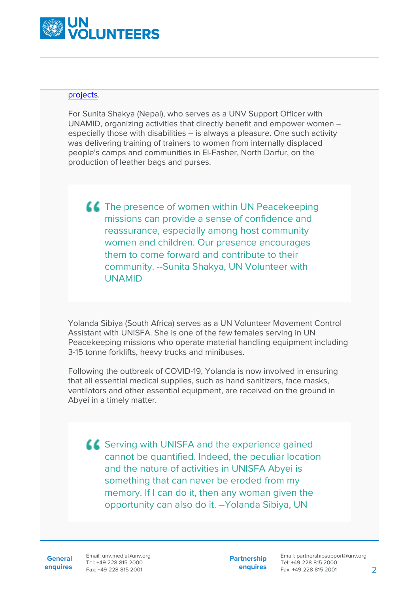

## [projects](https://www.unv.org/Our-stories/Volunteering-meet-challenge-development).

For Sunita Shakya (Nepal), who serves as a UNV Support Officer with UNAMID, organizing activities that directly benefit and empower women – especially those with disabilities – is always a pleasure. One such activity was delivering training of trainers to women from internally displaced people's camps and communities in El-Fasher, North Darfur, on the production of leather bags and purses.

**LL** The presence of women within UN Peacekeeping missions can provide a sense of confidence and reassurance, especially among host community women and children. Our presence encourages them to come forward and contribute to their community. --Sunita Shakya, UN Volunteer with UNAMID

Yolanda Sibiya (South Africa) serves as a UN Volunteer Movement Control Assistant with UNISFA. She is one of the few females serving in UN Peacekeeping missions who operate material handling equipment including 3-15 tonne forklifts, heavy trucks and minibuses.

Following the outbreak of COVID-19, Yolanda is now involved in ensuring that all essential medical supplies, such as hand sanitizers, face masks, ventilators and other essential equipment, are received on the ground in Abyei in a timely matter.

**Serving with UNISFA and the experience gained** cannot be quantified. Indeed, the peculiar location and the nature of activities in UNISFA Abyei is something that can never be eroded from my memory. If I can do it, then any woman given the opportunity can also do it. –Yolanda Sibiya, UN

**General**

**enquires** Fax: +49-228-815 2001 Email: unv.media@unv.org Tel: +49-228-815 2000

**Partnership enquires**

Email: partnershipsupport@unv.org Tel: +49-228-815 2000 Fax: +49-228-815 2001 2